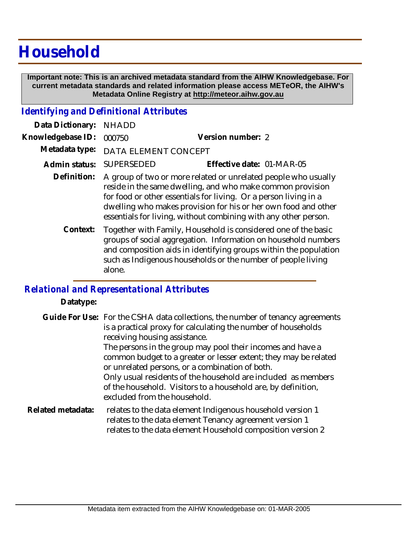# **Household**

 **Important note: This is an archived metadata standard from the AIHW Knowledgebase. For current metadata standards and related information please access METeOR, the AIHW's Metadata Online Registry at http://meteor.aihw.gov.au**

## *Identifying and Definitional Attributes*

| Data Dictionary:  | <b>NHADD</b>                                                                                                                                                                                                                                                                                                                          |                                                                                                                                                                                                                                                                      |
|-------------------|---------------------------------------------------------------------------------------------------------------------------------------------------------------------------------------------------------------------------------------------------------------------------------------------------------------------------------------|----------------------------------------------------------------------------------------------------------------------------------------------------------------------------------------------------------------------------------------------------------------------|
| Knowledgebase ID: | 000750                                                                                                                                                                                                                                                                                                                                | Version number: 2                                                                                                                                                                                                                                                    |
| Metadata type:    | DATA ELEMENT CONCEPT                                                                                                                                                                                                                                                                                                                  |                                                                                                                                                                                                                                                                      |
| Admin status:     | <b>SUPERSEDED</b>                                                                                                                                                                                                                                                                                                                     | Effective date: 01-MAR-05                                                                                                                                                                                                                                            |
| Definition:       | A group of two or more related or unrelated people who usually<br>reside in the same dwelling, and who make common provision<br>for food or other essentials for living. Or a person living in a<br>dwelling who makes provision for his or her own food and other<br>essentials for living, without combining with any other person. |                                                                                                                                                                                                                                                                      |
| Context:          | alone.                                                                                                                                                                                                                                                                                                                                | Together with Family, Household is considered one of the basic<br>groups of social aggregation. Information on household numbers<br>and composition aids in identifying groups within the population<br>such as Indigenous households or the number of people living |

# *Relational and Representational Attributes*

### **Datatype:**

Guide For Use: For the CSHA data collections, the number of tenancy agreements is a practical proxy for calculating the number of households receiving housing assistance. The persons in the group may pool their incomes and have a common budget to a greater or lesser extent; they may be related

or unrelated persons, or a combination of both. Only usual residents of the household are included as members of the household. Visitors to a household are, by definition, excluded from the household.

#### relates to the data element Indigenous household version 1 relates to the data element Tenancy agreement version 1 relates to the data element Household composition version 2 **Related metadata:**